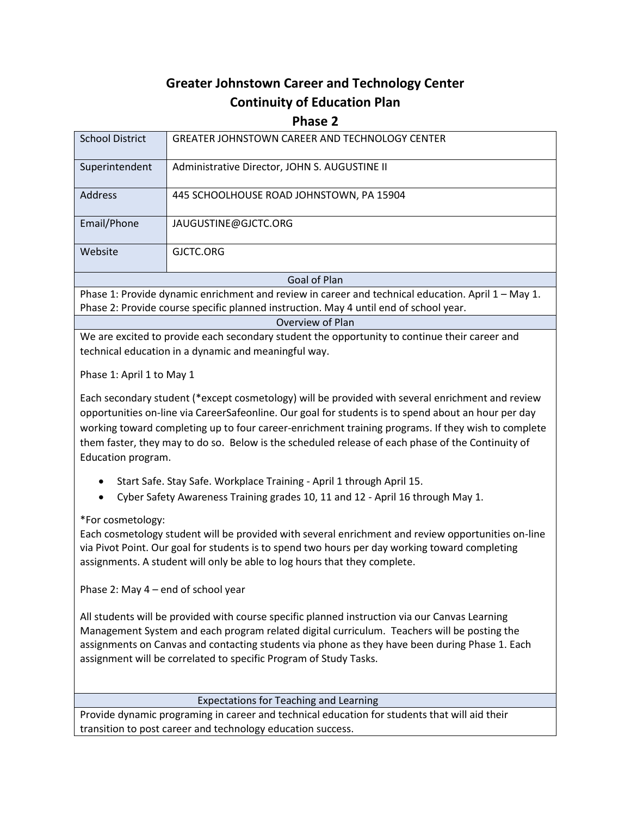# **Greater Johnstown Career and Technology Center Continuity of Education Plan**

## **Phase 2**

| <b>School District</b>                                                                             | <b>GREATER JOHNSTOWN CAREER AND TECHNOLOGY CENTER</b> |
|----------------------------------------------------------------------------------------------------|-------------------------------------------------------|
| Superintendent                                                                                     | Administrative Director, JOHN S. AUGUSTINE II         |
| <b>Address</b>                                                                                     | 445 SCHOOLHOUSE ROAD JOHNSTOWN, PA 15904              |
| Email/Phone                                                                                        | JAUGUSTINE@GJCTC.ORG                                  |
| Website                                                                                            | GJCTC.ORG                                             |
| Goal of Plan                                                                                       |                                                       |
| Phase 1: Provide dynamic enrichment and review in career and technical education. April 1 - May 1. |                                                       |

Phase 2: Provide course specific planned instruction. May 4 until end of school year.

Overview of Plan

We are excited to provide each secondary student the opportunity to continue their career and technical education in a dynamic and meaningful way.

Phase 1: April 1 to May 1

Each secondary student (\*except cosmetology) will be provided with several enrichment and review opportunities on-line via CareerSafeonline. Our goal for students is to spend about an hour per day working toward completing up to four career-enrichment training programs. If they wish to complete them faster, they may to do so. Below is the scheduled release of each phase of the Continuity of Education program.

Start Safe. Stay Safe. Workplace Training - April 1 through April 15.

Cyber Safety Awareness Training grades 10, 11 and 12 - April 16 through May 1.

\*For cosmetology:

Each cosmetology student will be provided with several enrichment and review opportunities on-line via Pivot Point. Our goal for students is to spend two hours per day working toward completing assignments. A student will only be able to log hours that they complete.

Phase 2: May 4 – end of school year

All students will be provided with course specific planned instruction via our Canvas Learning Management System and each program related digital curriculum. Teachers will be posting the assignments on Canvas and contacting students via phone as they have been during Phase 1. Each assignment will be correlated to specific Program of Study Tasks.

## Expectations for Teaching and Learning

Provide dynamic programing in career and technical education for students that will aid their transition to post career and technology education success.